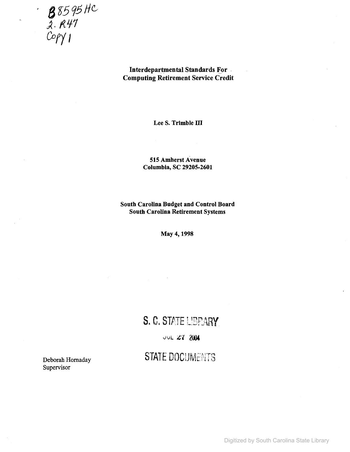**8** 85 95 HC  $\frac{6}{2}$ .  $R47$  $\mathcal{P}(\mathcal{P})$ 

## Interdepartmental Standards For-Computing Retirement Service Credit

Lee S. Trimble III

515 Amherst Avenue Columbia, SC 29205-2601

South Carolina Budget and Control Board South Carolina Retirement Systems

May 4,1998

# S. C. STATE LIBPARY

**JUL 27 2004** 

# **STATE DOCUMENTS**

Deborah Hornaday Supervisor

Digitized by South Carolina State Library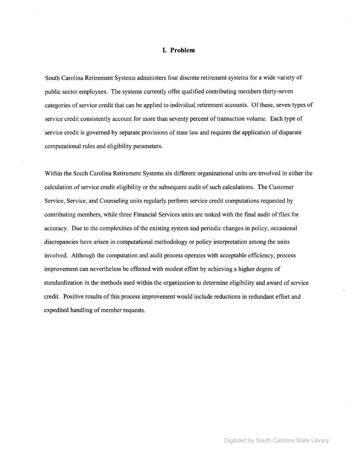### **I. Problem**

South Carolina Retirement Systems administers four discrete retirement systems for a wide variety of public sector employees. The systems currently offer qualified contributing members thirty-seven categories of service credit that can be applied to individual retirement accounts. Of these, seven types of service credit consistently account for more than seventy percent of transaction volume. Each type of service credit is governed by separate provisions of state law and requires the application of disparate computational rules and eligibility parameters.

Within the South Carolina Retirement Systems six different organizational units are involved in either the calculation of service credit eligibility or the subsequent audit of such calculations. The Customer Service, Service, and Counseling units regularly perform service credit computations requested by contributing members, while three Financial Services units are tasked with the final audit offiles for accuracy. Due to the complexities of the existing system and periodic changes in policy, occasional discrepancies have arisen in computational methodology or policy interpretation among the units involved. Although the computation and audit process operates with acceptable efficiency, process improvement can nevertheless be effected with modest effort by achieving a higher degree of standardization in the methods used within the organization to determine eligibility and award of service credit. Positive results ofthis process improvement would include reductions in redundant effort and expedited handling of member requests.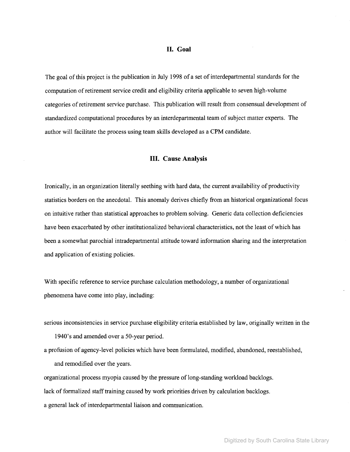#### **II. Goal**

The goal of this project is the publication in July 1998 of a set of interdepartmental standards for the computation ofretirement service credit and eligibility criteria applicable to seven high-volume categories ofretirement service purchase. This publication will result from consensual development of standardized computational procedures by an interdepartmental team of subject matter experts. The author will facilitate the process using team skills developed as a CPM candidate.

### **III. Cause Analysis**

Ironically, in an organization literally seething with hard data, the current availability of productivity statistics borders on the anecdotal. This anomaly derives chiefly from an historical organizational focus on intuitive rather than statistical approaches to problem solving. Generic data collection deficiencies have been exacerbated by other institutionalized behavioral characteristics, not the least of which has been a somewhat parochial intradepartmental attitude toward information sharing and the interpretation and application of existing policies.

With specific reference to service purchase calculation methodology, a number of organizational phenomena have come into play, including:

- serious inconsistencies in service purchase eligibility criteria established by law, originally written in the 1940's and amended over a 50-year period.
- a profusion of agency-level policies which have been formulated, modified, abandoned, reestablished, and remodified over the years.

organizational process myopia caused by the pressure oflong-standing workload backlogs.

lack of formalized staff training caused by work priorities driven by calculation backlogs.

a general lack of interdepartmental liaison and communication.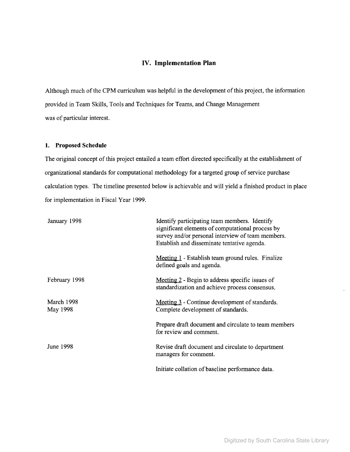### **IV. Implementation Plan**

Although much of the CPM curriculum was helpful in the development of this project, the information provided in Team Skills, Tools and Techniques for Teams, and Change Management was of particular interest.

### **1. Proposed Schedule**

The original concept of this project entailed a team effort directed specifically at the establishment of organizational standards for computational methodology for a targeted group of service purchase calculation types. The timeline presented below is achievable and will yield a finished product in place for implementation in Fiscal Year 1999.

| January 1998           | Identify participating team members. Identify<br>significant elements of computational process by<br>survey and/or personal interview of team members.<br>Establish and disseminate tentative agenda. |  |  |
|------------------------|-------------------------------------------------------------------------------------------------------------------------------------------------------------------------------------------------------|--|--|
|                        | Meeting 1 - Establish team ground rules. Finalize<br>defined goals and agenda.                                                                                                                        |  |  |
| February 1998          | Meeting 2 - Begin to address specific issues of<br>standardization and achieve process consensus.                                                                                                     |  |  |
| March 1998<br>May 1998 | Meeting 3 - Continue development of standards.<br>Complete development of standards.                                                                                                                  |  |  |
|                        | Prepare draft document and circulate to team members<br>for review and comment.                                                                                                                       |  |  |
| June 1998              | Revise draft document and circulate to department<br>managers for comment.                                                                                                                            |  |  |
|                        | Initiate collation of baseline performance data.                                                                                                                                                      |  |  |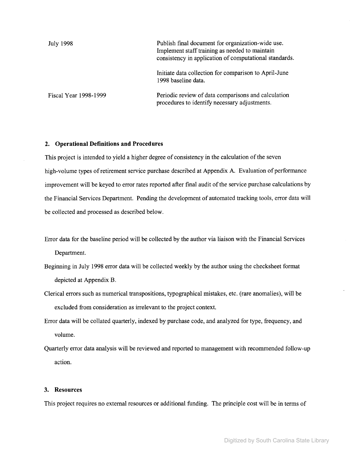| July 1998             | Publish final document for organization-wide use.<br>Implement staff training as needed to maintain<br>consistency in application of computational standards. |
|-----------------------|---------------------------------------------------------------------------------------------------------------------------------------------------------------|
|                       | Initiate data collection for comparison to April-June<br>1998 baseline data.                                                                                  |
| Fiscal Year 1998-1999 | Periodic review of data comparisons and calculation<br>procedures to identify necessary adjustments.                                                          |

### **2. Operational Definitions and Procedures**

This project is intended to yield a higher degree of consistency in the calculation of the seven high-volume types of retirement service purchase described at Appendix A. Evaluation of performance improvement will be keyed to error rates reported after final audit of the service purchase calculations by the Financial Services Department. Pending the development of automated tracking tools, error data will be collected and processed as described below.

- Error data for the baseline period will be collected by the author via liaison with the Financial Services Department.
- Beginning in July 1998 error data will be collected weekly by the author using the checksheet format depicted at Appendix B.
- Clerical errors such as numerical transpositions, typographical mistakes, etc. (rare anomalies), will be excluded from consideration as irrelevant to the project context.
- Error data will be collated quarterly, indexed by purchase code, and analyzed for type, frequency, and volume.
- Quarterly error data analysis will be reviewed and reported to management with recommended follow-up action.

#### **3. Resources**

This project requires no external resources or additional funding. The principle cost will be in terms of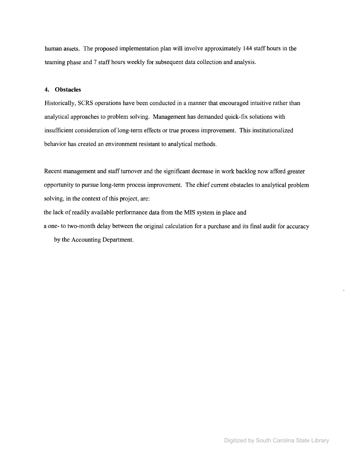human assets. The proposed implementation plan will involve approximately 144 staff hours in the teaming phase and 7 staff hours weekly for subsequent data collection and analysis.

### **4. Obstacles**

Historically, SCRS operations have been conducted in a manner that encouraged intuitive rather than analytical approaches to problem solving. Management has demanded quick-fix solutions with insufficient consideration of long-term effects or true process improvement. This institutionalized behavior has created an environment resistant to analytical methods.

Recent management and staff turnover and the significant decrease in work backlog now afford greater opportunity to pursue long-term process improvement. The chief current obstacles to analytical problem solving, in the context of this project, are:

the lack of readily available performance data from the MIS system in place and a one- to two-month delay between the original calculation for a purchase and its final audit for accuracy

by the Accounting Department.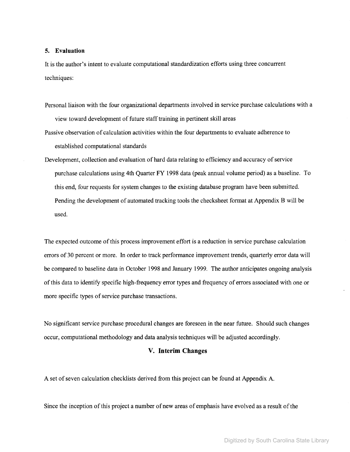### **5. Evaluation**

It is the author's intent to evaluate computational standardization efforts using three concurrent techniques:

- Personal liaison with the four organizational departments involved in service purchase calculations with a view toward development of future staff training in pertinent skill areas
- Passive observation of calculation activities within the four departments to evaluate adherence to established computational standards
- Development, collection and evaluation of hard data relating to efficiency and accuracy of service purchase calculations using 4th Quarter FY 1998 data (peak annual volume period) as a baseline. To this end, four requests for system changes to the existing database program have been submitted. Pending the development of automated tracking tools the checksheet format at Appendix B will be used.

The expected outcome of this process improvement effort is a reduction in service purchase calculation errors of 30 percent or more. In order to track performance improvement trends, quarterly error data will be compared to baseline data in October 1998 and January 1999. The author anticipates ongoing analysis of this data to identify specific high-frequency error types and frequency of errors associated with one or more specific types of service purchase transactions.

No significant service purchase procedural changes are foreseen in the near future. Should such changes occur, computational methodology and data analysis techniques will be adjusted accordingly.

### **V. Interim Changes**

A set of seven calculation checklists derived from this project can be found at Appendix A.

Since the inception of this project a number of new areas of emphasis have evolved as a result of the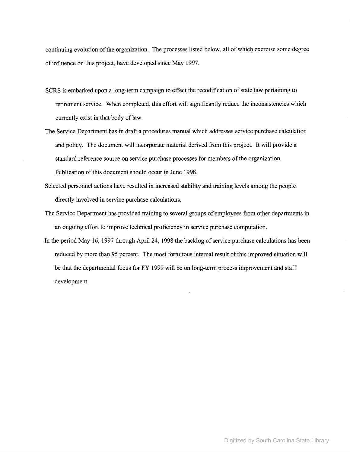continuing evolution of the organization. The processes listed below, all of which exercise some degree of influence on this project, have developed since May 1997.

- SCRS is embarked upon a long-term campaign to effect the recodification of state law pertaining to retirement service. When completed, this effort will significantly reduce the inconsistencies which currently exist in that body of law.
- The Service Department has in draft a procedures manual which addresses service purchase calculation and policy. The document will incorporate material derived from this project. It will provide a standard reference source on service purchase processes for members of the organization. Publication of this document should occur in June 1998.
- Selected personnel actions have resulted in increased stability and training levels among the people directly involved in service purchase calculations.
- The Service Department has provided training to several groups of employees from other departments in an ongoing effort to improve technical proficiency in service purchase computation.
- In the period May 16, 1997 through April 24, 1998 the backlog of service purchase calculations has been reduced by more than 95 percent. The most fortuitous internal result of this improved situation will be that the departmental focus for FY 1999 will be on long-term process improvement and staff development.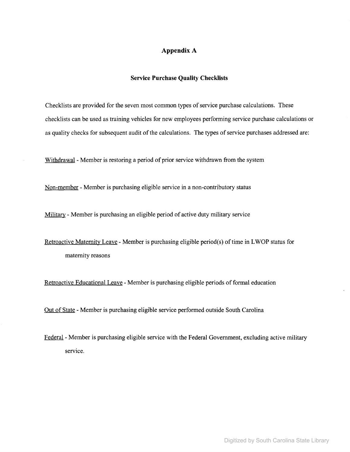## Appendix A

#### **Service Purchase Quality Checklists**

Checklists are provided for the seven most common types of service purchase calculations. These checklists can be used as training vehicles for new employees performing service purchase calculations or as quality checks for subsequent audit of the calculations. The types of service purchases addressed are:

Withdrawal - Member is restoring a period of prior service withdrawn from the system

Non-member - Member is purchasing eligible service in a non-contributory status

Military - Member is purchasing an eligible period of active duty military service

Retroactive Maternity Leave - Member is purchasing eligible period(s) of time in LWOP status for maternity reasons

Retroactive Educational Leave - Member is purchasing eligible periods of formal education

Out of State - Member is purchasing eligible service performed outside South Carolina

Federal- Member is purchasing eligible service with the Federal Government, excluding active military service.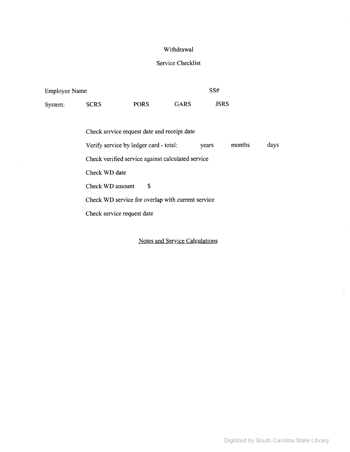# Withdrawal

# Service Checklist

| <b>Employee Name</b> |             |             | SS#         |             |
|----------------------|-------------|-------------|-------------|-------------|
| System:              | <b>SCRS</b> | <b>PORS</b> | <b>GARS</b> | <b>JSRS</b> |

| Check service request date and receipt date                       |
|-------------------------------------------------------------------|
| months<br>Verify service by ledger card - total:<br>days<br>vears |
| Check verified service against calculated service                 |
| Check WD date                                                     |
| S<br>Check WD amount                                              |
| Check WD service for overlap with current service                 |
| Check service request date                                        |
|                                                                   |

Notes and Service Calculations

 $\cdot$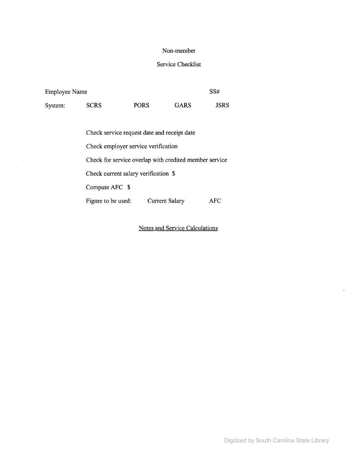### Non-member

# Service Checklist

| <b>Employee Name</b> |             |             | SS#  |             |
|----------------------|-------------|-------------|------|-------------|
| System:              | <b>SCRS</b> | <b>PORS</b> | GARS | <b>JSRS</b> |

Check service request date and receipt date Check employer service verification Check for service overlap with credited member service Check current salary verification \$ Compute APC \$ Figure to be used: Current Salary AFC

Notes and Service Calculations

 $\ddot{\phantom{a}}$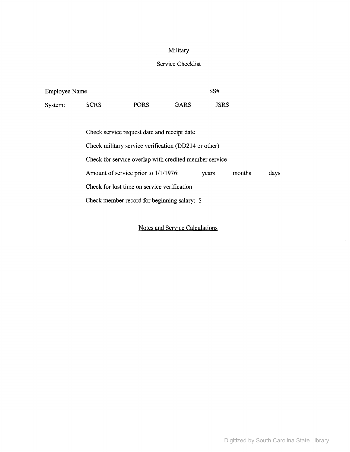# Military

# Service Checklist

| <b>Employee Name</b> |             |             |             | SS#         |
|----------------------|-------------|-------------|-------------|-------------|
| System:              | <b>SCRS</b> | <b>PORS</b> | <b>GARS</b> | <b>JSRS</b> |

| Check service request date and receipt date             |  |  |      |  |
|---------------------------------------------------------|--|--|------|--|
| Check military service verification (DD214 or other)    |  |  |      |  |
| Check for service overlap with credited member service  |  |  |      |  |
| Amount of service prior to 1/1/1976:<br>months<br>years |  |  | days |  |
| Check for lost time on service verification             |  |  |      |  |
| Check member record for beginning salary: \$            |  |  |      |  |

Notes and Service Calculations

 $\ddot{\phantom{1}}$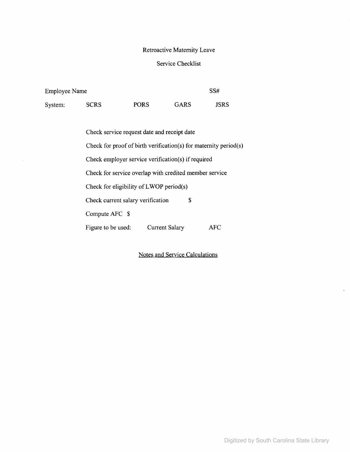# Retroactive Maternity Leave

# Service Checklist

| <b>Employee Name</b> |             |             | SS#         |      |
|----------------------|-------------|-------------|-------------|------|
| System:              | <b>SCRS</b> | <b>PORS</b> | <b>GARS</b> | JSRS |

| Check service request date and receipt date                      |  |  |  |  |
|------------------------------------------------------------------|--|--|--|--|
| Check for proof of birth verification(s) for maternity period(s) |  |  |  |  |
| Check employer service verification(s) if required               |  |  |  |  |
| Check for service overlap with credited member service           |  |  |  |  |
| Check for eligibility of LWOP period(s)                          |  |  |  |  |
| Check current salary verification<br>S                           |  |  |  |  |
| Compute AFC \$                                                   |  |  |  |  |
| Figure to be used:<br>Current Salary<br>AFC                      |  |  |  |  |

Notes and Service Calculations

 $\ddot{\phantom{1}}$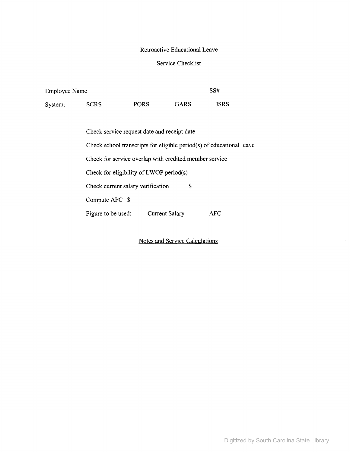### Retroactive Educational Leave

## Service Checklist

| <b>Employee Name</b> |             |             |      |             |
|----------------------|-------------|-------------|------|-------------|
| System:              | <b>SCRS</b> | <b>PORS</b> | GARS | <b>JSRS</b> |

Current Salary AFC Check service request date and receipt date Check school transcripts for eligible period(s) of educational leave Check for service overlap with credited member service Check for eligibility of  $LWOP$  period(s) Check current salary verification \$ Compute AFC \$ Figure to be used:

Notes and Service Calculations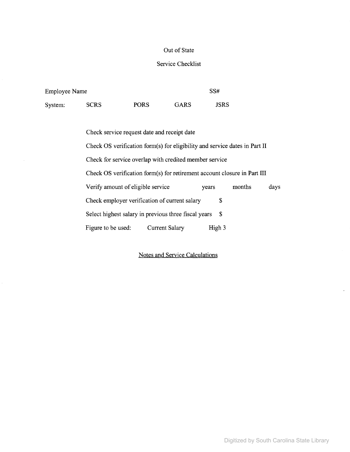### Out of State

### Service Checklist

| <b>Employee Name</b> |             |             | SS#         |      |
|----------------------|-------------|-------------|-------------|------|
| System:              | <b>SCRS</b> | <b>PORS</b> | <b>GARS</b> | JSRS |

Check service request date and receipt date Check OS verification form(s) for eligibility and service dates in Part II Check for service overlap with credited member service Check OS verification form(s) for retirement account closure in Part III Verify amount of eligible service years months days Check employer verification of current salary \$ Select highest salary in previous three fiscal years \$ Figure to be used: Current Salary High 3

### Notes and Service Calculations